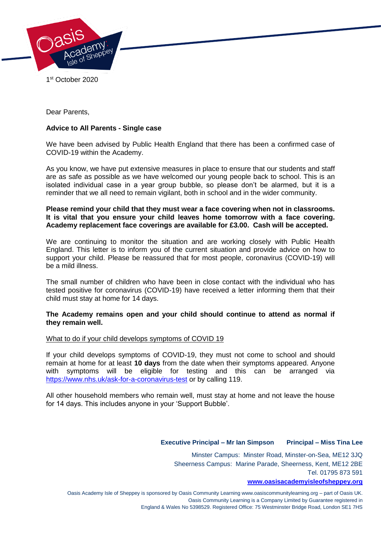

1 st October 2020

Dear Parents,

# **Advice to All Parents - Single case**

We have been advised by Public Health England that there has been a confirmed case of COVID-19 within the Academy.

As you know, we have put extensive measures in place to ensure that our students and staff are as safe as possible as we have welcomed our young people back to school. This is an isolated individual case in a year group bubble, so please don't be alarmed, but it is a reminder that we all need to remain vigilant, both in school and in the wider community.

**Please remind your child that they must wear a face covering when not in classrooms. It is vital that you ensure your child leaves home tomorrow with a face covering. Academy replacement face coverings are available for £3.00. Cash will be accepted.** 

We are continuing to monitor the situation and are working closely with Public Health England. This letter is to inform you of the current situation and provide advice on how to support your child. Please be reassured that for most people, coronavirus (COVID-19) will be a mild illness.

The small number of children who have been in close contact with the individual who has tested positive for coronavirus (COVID-19) have received a letter informing them that their child must stay at home for 14 days.

## **The Academy remains open and your child should continue to attend as normal if they remain well.**

### What to do if your child develops symptoms of COVID 19

If your child develops symptoms of COVID-19, they must not come to school and should remain at home for at least **10 days** from the date when their symptoms appeared. Anyone with symptoms will be eligible for testing and this can be arranged via <https://www.nhs.uk/ask-for-a-coronavirus-test> or by calling 119.

All other household members who remain well, must stay at home and not leave the house for 14 days. This includes anyone in your 'Support Bubble'.

### **Executive Principal – Mr Ian Simpson Principal – Miss Tina Lee**

Minster Campus: Minster Road, Minster-on-Sea, ME12 3JQ Sheerness Campus: Marine Parade, Sheerness, Kent, ME12 2BE Tel. 01795 873 591

#### **[www.oasisacademyisleofsheppey.org](http://www.oasisacademyisleofsheppey.org/)**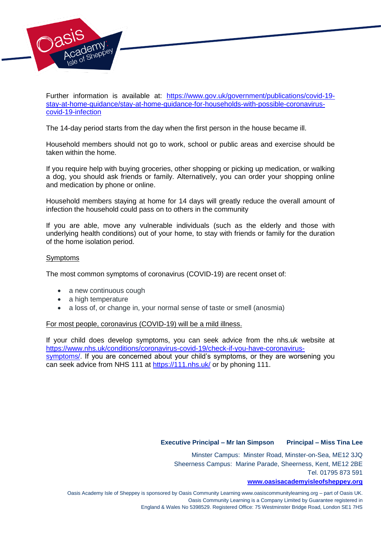

Further information is available at: [https://www.gov.uk/government/publications/covid-19](https://www.gov.uk/government/publications/covid-19-stay-at-home-guidance/stay-at-home-guidance-for-households-with-possible-coronavirus-covid-19-infection) [stay-at-home-guidance/stay-at-home-guidance-for-households-with-possible-coronavirus](https://www.gov.uk/government/publications/covid-19-stay-at-home-guidance/stay-at-home-guidance-for-households-with-possible-coronavirus-covid-19-infection)[covid-19-infection](https://www.gov.uk/government/publications/covid-19-stay-at-home-guidance/stay-at-home-guidance-for-households-with-possible-coronavirus-covid-19-infection)

The 14-day period starts from the day when the first person in the house became ill.

Household members should not go to work, school or public areas and exercise should be taken within the home.

If you require help with buying groceries, other shopping or picking up medication, or walking a dog, you should ask friends or family. Alternatively, you can order your shopping online and medication by phone or online.

Household members staying at home for 14 days will greatly reduce the overall amount of infection the household could pass on to others in the community

If you are able, move any vulnerable individuals (such as the elderly and those with underlying health conditions) out of your home, to stay with friends or family for the duration of the home isolation period.

## Symptoms

The most common symptoms of coronavirus (COVID-19) are recent onset of:

- a new continuous cough
- a high temperature
- a loss of, or change in, your normal sense of taste or smell (anosmia)

### For most people, coronavirus (COVID-19) will be a mild illness.

If your child does develop symptoms, you can seek advice from the nhs.uk website at [https://www.nhs.uk/conditions/coronavirus-covid-19/check-if-you-have-coronavirus](https://www.nhs.uk/conditions/coronavirus-covid-19/check-if-you-have-coronavirus-symptoms/)[symptoms/.](https://www.nhs.uk/conditions/coronavirus-covid-19/check-if-you-have-coronavirus-symptoms/) If you are concerned about your child's symptoms, or they are worsening you can seek advice from NHS 111 at<https://111.nhs.uk/> or by phoning 111.

### **Executive Principal – Mr Ian Simpson Principal – Miss Tina Lee**

Minster Campus: Minster Road, Minster-on-Sea, ME12 3JQ Sheerness Campus: Marine Parade, Sheerness, Kent, ME12 2BE Tel. 01795 873 591

#### **[www.oasisacademyisleofsheppey.org](http://www.oasisacademyisleofsheppey.org/)**

Oasis Academy Isle of Sheppey is sponsored by Oasis Community Learning www.oasiscommunitylearning.org – part of Oasis UK. Oasis Community Learning is a Company Limited by Guarantee registered in England & Wales No 5398529. Registered Office: 75 Westminster Bridge Road, London SE1 7HS